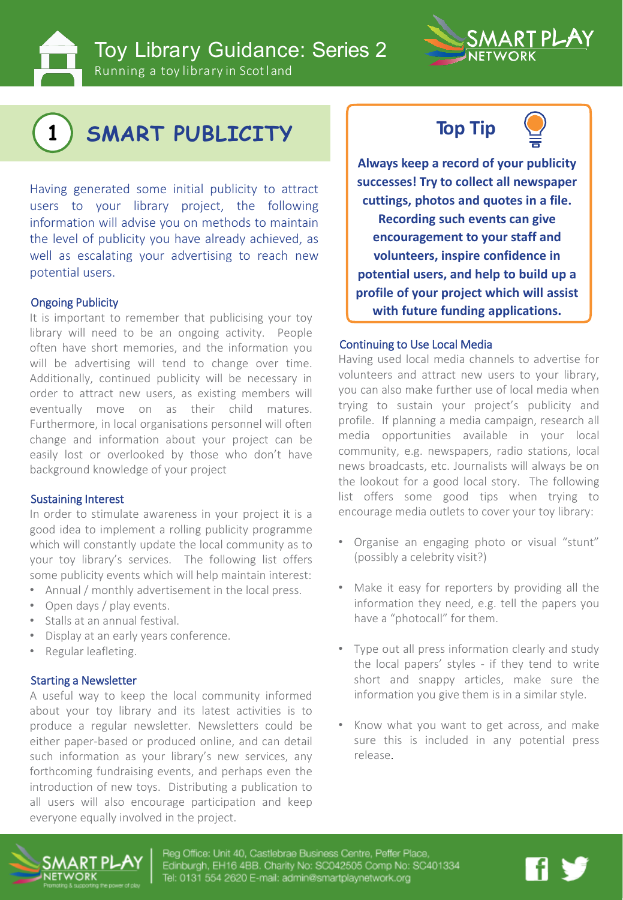**Toy Library Guidance: Series 2** 

Running a toy library in Scotland



# **1 SMART PUBLICITY**

Having generated some initial publicity to attract users to your library project, the following information will advise you on methods to maintain the level of publicity you have already achieved, as well as escalating your advertising to reach new potential users.

It is important to remember that publicising your toy library will need to be an ongoing activity. People often have short memories, and the information you will be advertising will tend to change over time. Additionally, continued publicity will be necessary in order to attract new users, as existing members will eventually move on as their child matures. Furthermore, in local organisations personnel will often change and information about your project can be easily lost or overlooked by those who don't have background knowledge of your project

### Sustaining Interest

In order to stimulate awareness in your project it is a good idea to implement a rolling publicity programme which will constantly update the local community as to your toy library's services. The following list offers some publicity events which will help maintain interest:

- Annual / monthly advertisement in the local press.
- Open days / play events.
- Stalls at an annual festival.
- Display at an early years conference.
- Regular leafleting.

### Starting a Newsletter

A useful way to keep the local community informed about your toy library and its latest activities is to produce a regular newsletter. Newsletters could be either paper-based or produced online, and can detail such information as your library's new services, any forthcoming fundraising events, and perhaps even the introduction of new toys. Distributing a publication to all users will also encourage participation and keep everyone equally involved in the project.





**Always keep a record of your publicity successes! Try to collect all newspaper cuttings, photos and quotes in a file. Recording such events can give encouragement to your staff and volunteers, inspire confidence in potential users, and help to build up a profile of your project which will assist Ongoing Publicity**<br> **with future funding applications.** 

#### Continuing to Use Local Media

Having used local media channels to advertise for volunteers and attract new users to your library, you can also make further use of local media when trying to sustain your project's publicity and profile. If planning a media campaign, research all media opportunities available in your local community, e.g. newspapers, radio stations, local news broadcasts, etc. Journalists will always be on the lookout for a good local story. The following list offers some good tips when trying to encourage media outlets to cover your toy library:

- Organise an engaging photo or visual "stunt" (possibly a celebrity visit?)
- Make it easy for reporters by providing all the information they need, e.g. tell the papers you have a "photocall" for them.
- Type out all press information clearly and study the local papers' styles - if they tend to write short and snappy articles, make sure the information you give them is in a similar style.
- Know what you want to get across, and make sure this is included in any potential press release.



Reg Office: Unit 40, Castlebrae Business Centre, Peffer Place, Edinburgh, EH16 4BB. Charity No: SC042505 Comp No: SC401334 Tel: 0131 554 2620 E-mail: admin@smartplaynetwork.org